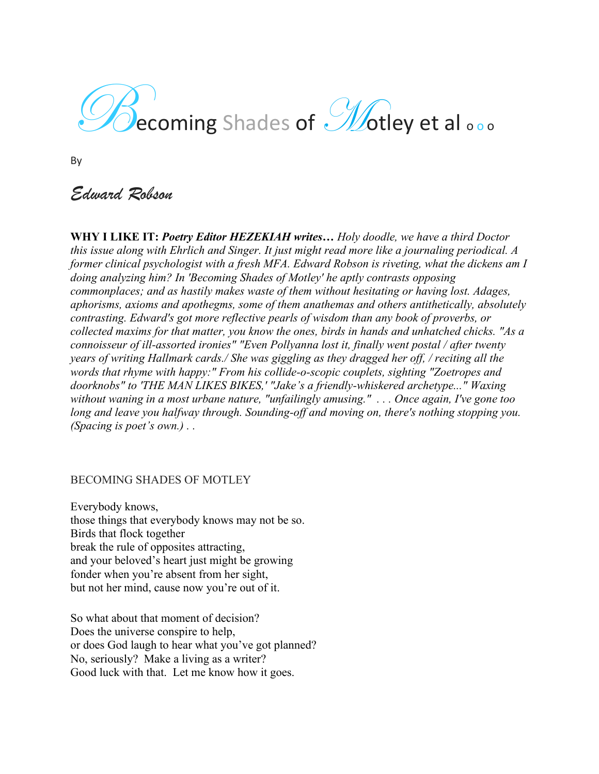# $\mathcal{D}$ ecoming Shades of  $\mathcal{D}$ otley et al  $\circ$

By

## *Edward Robson*

**WHY I LIKE IT:** *Poetry Editor HEZEKIAH writes… Holy doodle, we have a third Doctor this issue along with Ehrlich and Singer. It just might read more like a journaling periodical. A former clinical psychologist with a fresh MFA. Edward Robson is riveting, what the dickens am I doing analyzing him? In 'Becoming Shades of Motley' he aptly contrasts opposing commonplaces; and as hastily makes waste of them without hesitating or having lost. Adages, aphorisms, axioms and apothegms, some of them anathemas and others antithetically, absolutely contrasting. Edward's got more reflective pearls of wisdom than any book of proverbs, or collected maxims for that matter, you know the ones, birds in hands and unhatched chicks. "As a connoisseur of ill-assorted ironies" "Even Pollyanna lost it, finally went postal / after twenty years of writing Hallmark cards./ She was giggling as they dragged her off, / reciting all the words that rhyme with happy:" From his collide-o-scopic couplets, sighting "Zoetropes and doorknobs" to 'THE MAN LIKES BIKES,' "Jake's a friendly-whiskered archetype..." Waxing without waning in a most urbane nature, "unfailingly amusing." . . . Once again, I've gone too long and leave you halfway through. Sounding-off and moving on, there's nothing stopping you. (Spacing is poet's own.) . .* 

### BECOMING SHADES OF MOTLEY

Everybody knows, those things that everybody knows may not be so. Birds that flock together break the rule of opposites attracting, and your beloved's heart just might be growing fonder when you're absent from her sight, but not her mind, cause now you're out of it.

So what about that moment of decision? Does the universe conspire to help, or does God laugh to hear what you've got planned? No, seriously? Make a living as a writer? Good luck with that. Let me know how it goes.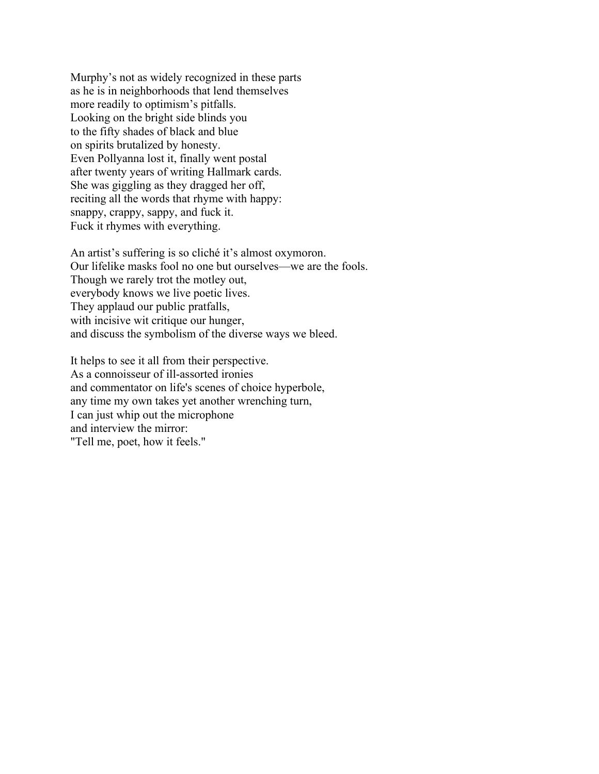Murphy's not as widely recognized in these parts as he is in neighborhoods that lend themselves more readily to optimism's pitfalls. Looking on the bright side blinds you to the fifty shades of black and blue on spirits brutalized by honesty. Even Pollyanna lost it, finally went postal after twenty years of writing Hallmark cards. She was giggling as they dragged her off, reciting all the words that rhyme with happy: snappy, crappy, sappy, and fuck it. Fuck it rhymes with everything.

An artist's suffering is so cliché it's almost oxymoron. Our lifelike masks fool no one but ourselves—we are the fools. Though we rarely trot the motley out, everybody knows we live poetic lives. They applaud our public pratfalls, with incisive wit critique our hunger, and discuss the symbolism of the diverse ways we bleed.

It helps to see it all from their perspective. As a connoisseur of ill-assorted ironies and commentator on life's scenes of choice hyperbole, any time my own takes yet another wrenching turn, I can just whip out the microphone and interview the mirror: "Tell me, poet, how it feels."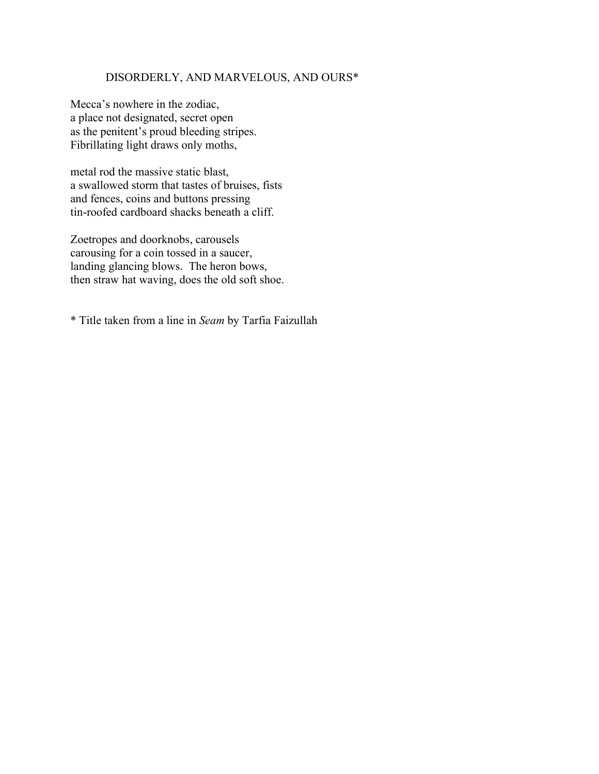#### DISORDERLY, AND MARVELOUS, AND OURS\*

Mecca's nowhere in the zodiac, a place not designated, secret open as the penitent's proud bleeding stripes. Fibrillating light draws only moths,

metal rod the massive static blast, a swallowed storm that tastes of bruises, fists and fences, coins and buttons pressing tin-roofed cardboard shacks beneath a cliff.

Zoetropes and doorknobs, carousels carousing for a coin tossed in a saucer, landing glancing blows. The heron bows, then straw hat waving, does the old soft shoe.

\* Title taken from a line in *Seam* by Tarfia Faizullah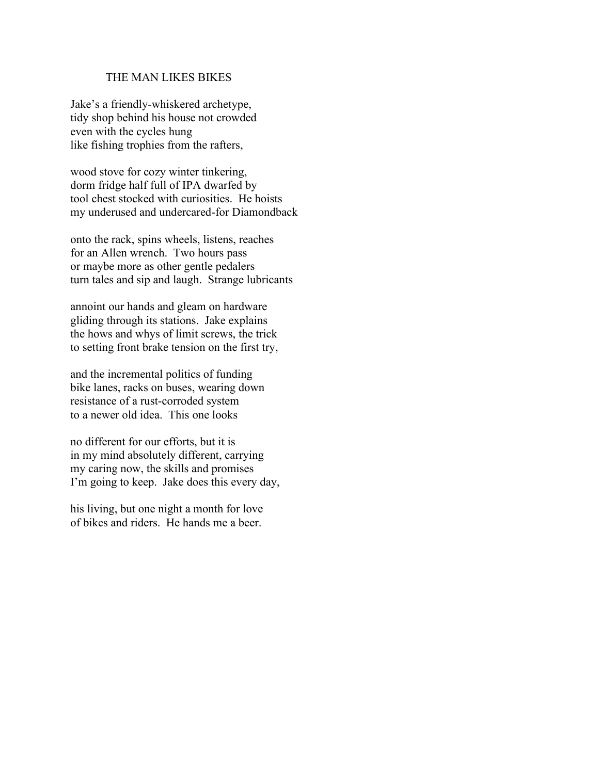#### THE MAN LIKES BIKES

Jake's a friendly-whiskered archetype, tidy shop behind his house not crowded even with the cycles hung like fishing trophies from the rafters,

wood stove for cozy winter tinkering, dorm fridge half full of IPA dwarfed by tool chest stocked with curiosities. He hoists my underused and undercared-for Diamondback

onto the rack, spins wheels, listens, reaches for an Allen wrench. Two hours pass or maybe more as other gentle pedalers turn tales and sip and laugh. Strange lubricants

annoint our hands and gleam on hardware gliding through its stations. Jake explains the hows and whys of limit screws, the trick to setting front brake tension on the first try,

and the incremental politics of funding bike lanes, racks on buses, wearing down resistance of a rust-corroded system to a newer old idea. This one looks

no different for our efforts, but it is in my mind absolutely different, carrying my caring now, the skills and promises I'm going to keep. Jake does this every day,

his living, but one night a month for love of bikes and riders. He hands me a beer.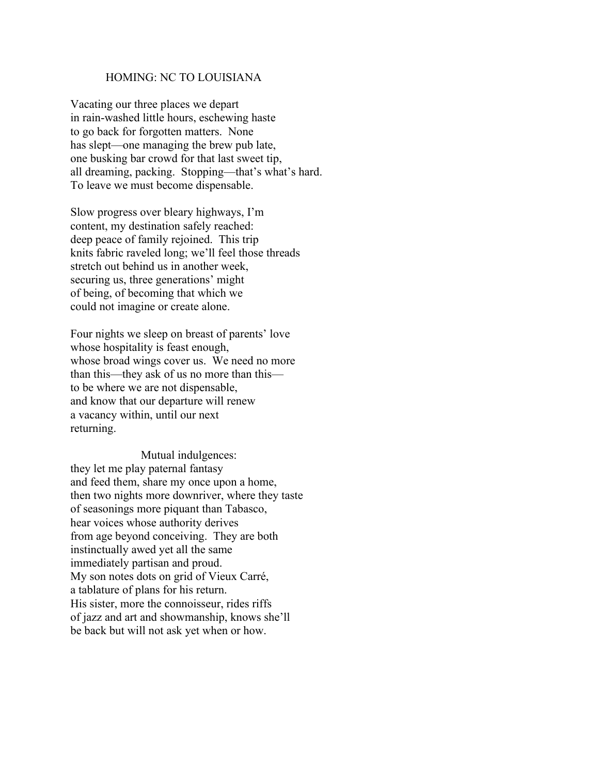#### HOMING: NC TO LOUISIANA

Vacating our three places we depart in rain-washed little hours, eschewing haste to go back for forgotten matters. None has slept—one managing the brew pub late, one busking bar crowd for that last sweet tip, all dreaming, packing. Stopping—that's what's hard. To leave we must become dispensable.

Slow progress over bleary highways, I'm content, my destination safely reached: deep peace of family rejoined. This trip knits fabric raveled long; we'll feel those threads stretch out behind us in another week, securing us, three generations' might of being, of becoming that which we could not imagine or create alone.

Four nights we sleep on breast of parents' love whose hospitality is feast enough, whose broad wings cover us. We need no more than this—they ask of us no more than this to be where we are not dispensable, and know that our departure will renew a vacancy within, until our next returning.

Mutual indulgences: they let me play paternal fantasy and feed them, share my once upon a home, then two nights more downriver, where they taste of seasonings more piquant than Tabasco, hear voices whose authority derives from age beyond conceiving. They are both instinctually awed yet all the same immediately partisan and proud. My son notes dots on grid of Vieux Carré, a tablature of plans for his return. His sister, more the connoisseur, rides riffs of jazz and art and showmanship, knows she'll be back but will not ask yet when or how.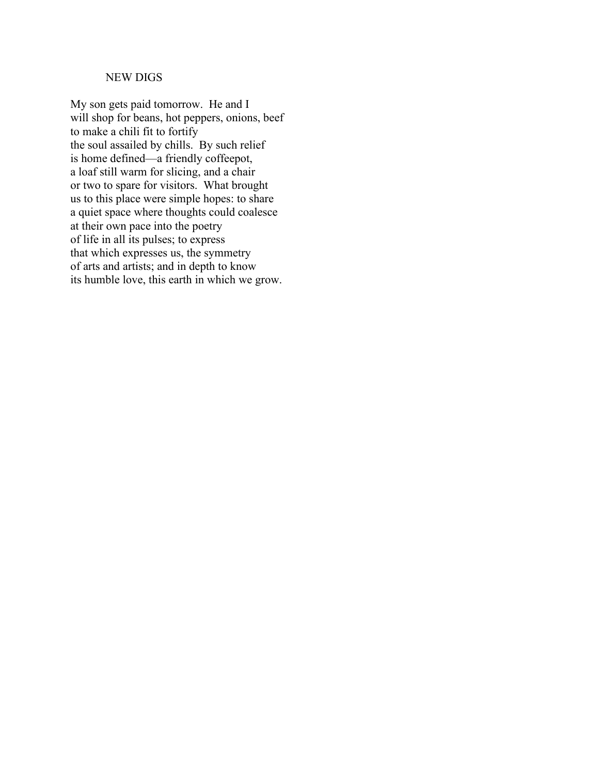#### NEW DIGS

My son gets paid tomorrow. He and I will shop for beans, hot peppers, onions, beef to make a chili fit to fortify the soul assailed by chills. By such relief is home defined—a friendly coffeepot, a loaf still warm for slicing, and a chair or two to spare for visitors. What brought us to this place were simple hopes: to share a quiet space where thoughts could coalesce at their own pace into the poetry of life in all its pulses; to express that which expresses us, the symmetry of arts and artists; and in depth to know its humble love, this earth in which we grow.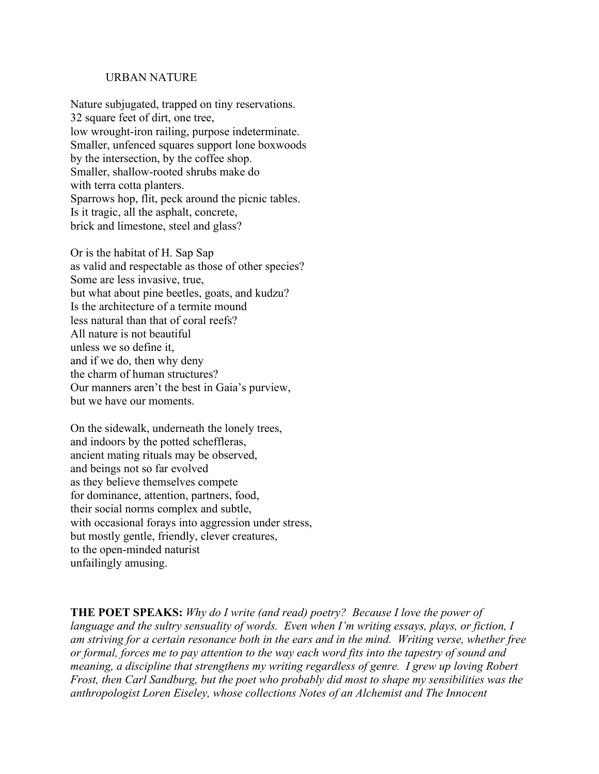#### URBAN NATURE

Nature subjugated, trapped on tiny reservations. 32 square feet of dirt, one tree, low wrought-iron railing, purpose indeterminate. Smaller, unfenced squares support lone boxwoods by the intersection, by the coffee shop. Smaller, shallow-rooted shrubs make do with terra cotta planters. Sparrows hop, flit, peck around the picnic tables. Is it tragic, all the asphalt, concrete, brick and limestone, steel and glass?

Or is the habitat of H. Sap Sap as valid and respectable as those of other species? Some are less invasive, true, but what about pine beetles, goats, and kudzu? Is the architecture of a termite mound less natural than that of coral reefs? All nature is not beautiful unless we so define it, and if we do, then why deny the charm of human structures? Our manners aren't the best in Gaia's purview, but we have our moments.

On the sidewalk, underneath the lonely trees, and indoors by the potted scheffleras, ancient mating rituals may be observed, and beings not so far evolved as they believe themselves compete for dominance, attention, partners, food, their social norms complex and subtle, with occasional forays into aggression under stress, but mostly gentle, friendly, clever creatures, to the open-minded naturist unfailingly amusing.

**THE POET SPEAKS:** *Why do I write (and read) poetry? Because I love the power of language and the sultry sensuality of words. Even when I'm writing essays, plays, or fiction, I am striving for a certain resonance both in the ears and in the mind. Writing verse, whether free or formal, forces me to pay attention to the way each word fits into the tapestry of sound and meaning, a discipline that strengthens my writing regardless of genre. I grew up loving Robert Frost, then Carl Sandburg, but the poet who probably did most to shape my sensibilities was the anthropologist Loren Eiseley, whose collections Notes of an Alchemist and The Innocent*